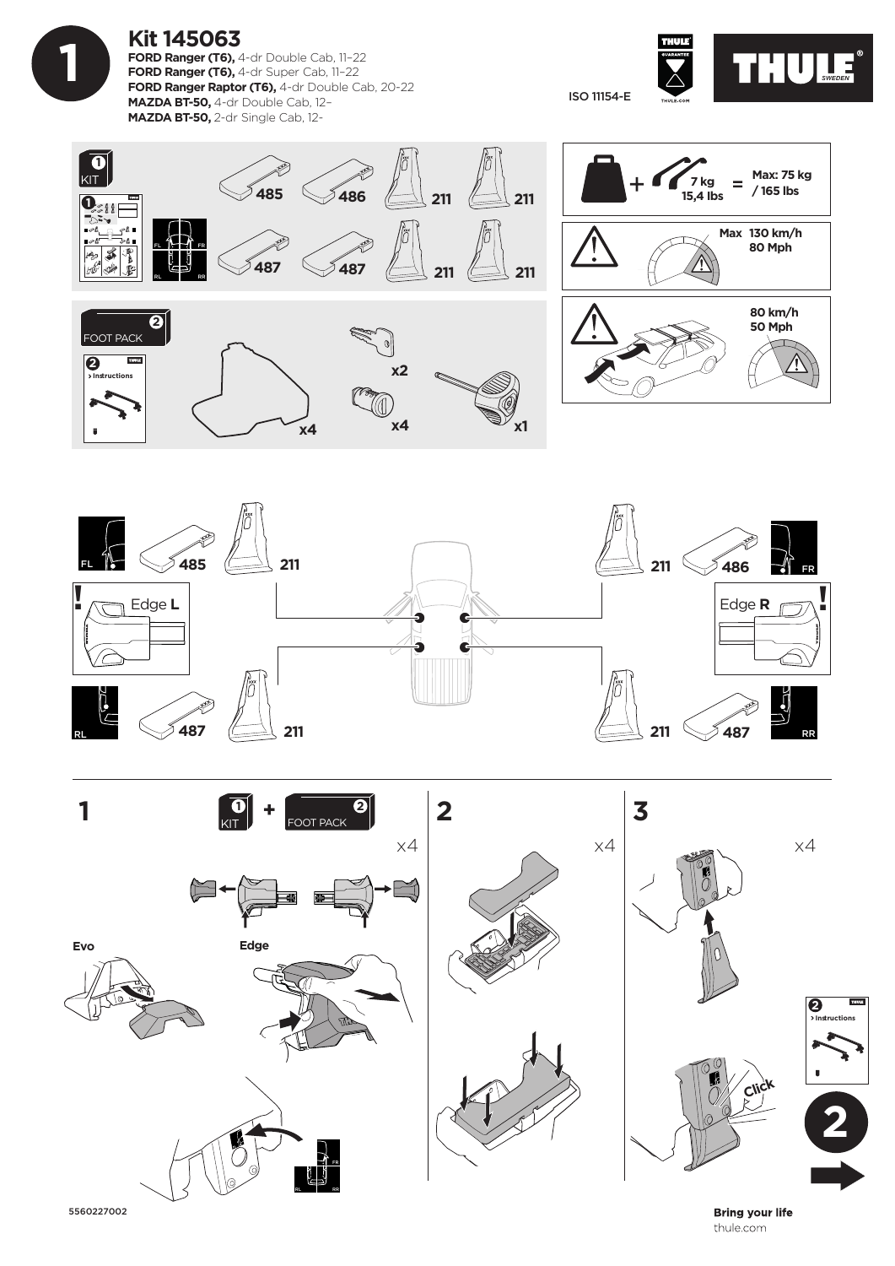

## **Kit 145063**

**FORD Ranger (T6), 4-dr Double Cab, 11-22 FORD Ranger (T6),** 4-dr Super Cab, 11–22 **FORD Ranger Raptor (T6),** 4-dr Double Cab, 20-22 **MAZDA BT-50,** 4-dr Double Cab, 12– **MAZDA BT-50,** 2-dr Single Cab, 12-

THUSE<sup>®</sup> ISO 11154-E

> **80 km/h 50 Mph**

**Max 130 km/h 80 Mph**

 $\equiv$ 

**Max: 75 kg / 165 lbs**







5560227002

**Bring your life** thule.com